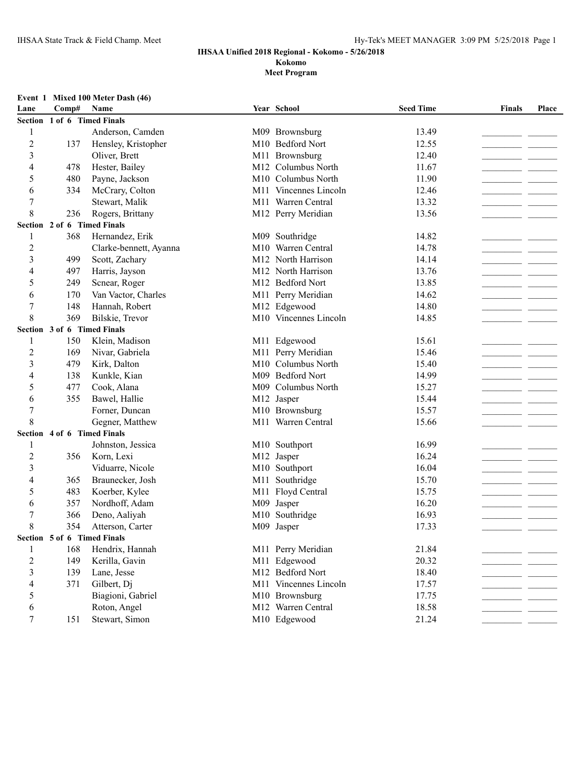### **IHSAA Unified 2018 Regional - Kokomo - 5/26/2018 Kokomo**

#### **Meet Program**

#### **Event 1 Mixed 100 Meter Dash (46)**

| Lane           | Comp#                       | Name                        |     | Year School           | <b>Seed Time</b> | Finals                                                                                                                                                                                                                               | Place |  |
|----------------|-----------------------------|-----------------------------|-----|-----------------------|------------------|--------------------------------------------------------------------------------------------------------------------------------------------------------------------------------------------------------------------------------------|-------|--|
|                | Section 1 of 6 Timed Finals |                             |     |                       |                  |                                                                                                                                                                                                                                      |       |  |
| 1              |                             | Anderson, Camden            |     | M09 Brownsburg        | 13.49            |                                                                                                                                                                                                                                      |       |  |
| $\overline{c}$ | 137                         | Hensley, Kristopher         |     | M10 Bedford Nort      | 12.55            |                                                                                                                                                                                                                                      |       |  |
| 3              |                             | Oliver, Brett               |     | M11 Brownsburg        | 12.40            |                                                                                                                                                                                                                                      |       |  |
| 4              | 478                         | Hester, Bailey              |     | M12 Columbus North    | 11.67            |                                                                                                                                                                                                                                      |       |  |
| 5              | 480                         | Payne, Jackson              |     | M10 Columbus North    | 11.90            |                                                                                                                                                                                                                                      |       |  |
| 6              | 334                         | McCrary, Colton             |     | M11 Vincennes Lincoln | 12.46            |                                                                                                                                                                                                                                      |       |  |
| 7              |                             | Stewart, Malik              |     | M11 Warren Central    | 13.32            |                                                                                                                                                                                                                                      |       |  |
| 8              | 236                         | Rogers, Brittany            |     | M12 Perry Meridian    | 13.56            |                                                                                                                                                                                                                                      |       |  |
|                |                             | Section 2 of 6 Timed Finals |     |                       |                  |                                                                                                                                                                                                                                      |       |  |
| 1              | 368                         | Hernandez, Erik             |     | M09 Southridge        | 14.82            |                                                                                                                                                                                                                                      |       |  |
| $\overline{c}$ |                             | Clarke-bennett, Ayanna      |     | M10 Warren Central    | 14.78            | <u> The Communication of the Communication of the Communication of the Communication of the Communication of the Communication of the Communication of the Communication of the Communication of the Communication of the Commun</u> |       |  |
| 3              | 499                         | Scott, Zachary              |     | M12 North Harrison    | 14.14            |                                                                                                                                                                                                                                      |       |  |
| 4              | 497                         | Harris, Jayson              |     | M12 North Harrison    | 13.76            |                                                                                                                                                                                                                                      |       |  |
| 5              | 249                         | Scnear, Roger               |     | M12 Bedford Nort      | 13.85            |                                                                                                                                                                                                                                      |       |  |
| 6              | 170                         | Van Vactor, Charles         |     | M11 Perry Meridian    | 14.62            |                                                                                                                                                                                                                                      |       |  |
| 7              | 148                         | Hannah, Robert              |     | M12 Edgewood          | 14.80            |                                                                                                                                                                                                                                      |       |  |
| 8              | 369                         | Bilskie, Trevor             |     | M10 Vincennes Lincoln | 14.85            |                                                                                                                                                                                                                                      |       |  |
|                |                             | Section 3 of 6 Timed Finals |     |                       |                  |                                                                                                                                                                                                                                      |       |  |
| 1              | 150                         | Klein, Madison              |     | M11 Edgewood          | 15.61            |                                                                                                                                                                                                                                      |       |  |
| 2              | 169                         | Nivar, Gabriela             |     | M11 Perry Meridian    | 15.46            |                                                                                                                                                                                                                                      |       |  |
| 3              | 479                         | Kirk, Dalton                | M10 | Columbus North        | 15.40            |                                                                                                                                                                                                                                      |       |  |
| 4              | 138                         | Kunkle, Kian                |     | M09 Bedford Nort      | 14.99            |                                                                                                                                                                                                                                      |       |  |
| 5              | 477                         | Cook, Alana                 | M09 | Columbus North        | 15.27            |                                                                                                                                                                                                                                      |       |  |
| 6              | 355                         | Bawel, Hallie               |     | M12 Jasper            | 15.44            |                                                                                                                                                                                                                                      |       |  |
| $\overline{7}$ |                             | Forner, Duncan              |     | M10 Brownsburg        | 15.57            |                                                                                                                                                                                                                                      |       |  |
| 8              |                             | Gegner, Matthew             |     | M11 Warren Central    | 15.66            |                                                                                                                                                                                                                                      |       |  |
|                | Section 4 of 6 Timed Finals |                             |     |                       |                  |                                                                                                                                                                                                                                      |       |  |
| 1              |                             | Johnston, Jessica           |     | M10 Southport         | 16.99            |                                                                                                                                                                                                                                      |       |  |
| 2              | 356                         | Korn, Lexi                  |     | M12 Jasper            | 16.24            |                                                                                                                                                                                                                                      |       |  |
| 3              |                             | Viduarre, Nicole            |     | M10 Southport         | 16.04            |                                                                                                                                                                                                                                      |       |  |
| 4              | 365                         | Braunecker, Josh            |     | M11 Southridge        | 15.70            |                                                                                                                                                                                                                                      |       |  |
| 5              | 483                         | Koerber, Kylee              |     | M11 Floyd Central     | 15.75            | the control of the control of the                                                                                                                                                                                                    |       |  |
| 6              | 357                         | Nordhoff, Adam              |     | M09 Jasper            | 16.20            | the company of the company of the                                                                                                                                                                                                    |       |  |
| 7              | 366                         | Deno, Aaliyah               |     | M10 Southridge        | 16.93            | and the control                                                                                                                                                                                                                      |       |  |
| 8              | 354                         | Atterson, Carter            |     | M09 Jasper            | 17.33            | - -                                                                                                                                                                                                                                  |       |  |
|                | Section 5 of 6 Timed Finals |                             |     |                       |                  |                                                                                                                                                                                                                                      |       |  |
| 1              | 168                         | Hendrix, Hannah             |     | M11 Perry Meridian    | 21.84            |                                                                                                                                                                                                                                      |       |  |
| $\overline{c}$ | 149                         | Kerilla, Gavin              |     | M11 Edgewood          | 20.32            |                                                                                                                                                                                                                                      |       |  |
| 3              | 139                         | Lane, Jesse                 |     | M12 Bedford Nort      | 18.40            |                                                                                                                                                                                                                                      |       |  |
| 4              | 371                         | Gilbert, Dj                 |     | M11 Vincennes Lincoln | 17.57            |                                                                                                                                                                                                                                      |       |  |
| 5              |                             | Biagioni, Gabriel           |     | M10 Brownsburg        | 17.75            |                                                                                                                                                                                                                                      |       |  |
| 6              |                             | Roton, Angel                |     | M12 Warren Central    | 18.58            |                                                                                                                                                                                                                                      |       |  |
| 7              | 151                         | Stewart, Simon              |     | M10 Edgewood          | 21.24            |                                                                                                                                                                                                                                      |       |  |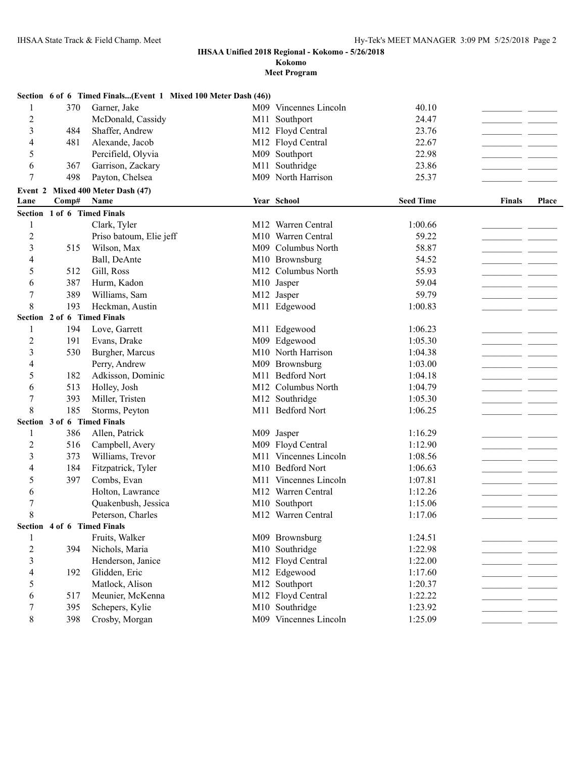**Kokomo**

|                |                             | Section 6 of 6 Timed Finals(Event 1 Mixed 100 Meter Dash (46)) |     |                       |                  |               |              |
|----------------|-----------------------------|----------------------------------------------------------------|-----|-----------------------|------------------|---------------|--------------|
| 1              | 370                         | Garner, Jake                                                   |     | M09 Vincennes Lincoln | 40.10            |               |              |
| 2              |                             | McDonald, Cassidy                                              | M11 | Southport             | 24.47            |               |              |
| 3              | 484                         | Shaffer, Andrew                                                |     | M12 Floyd Central     | 23.76            |               |              |
| 4              | 481                         | Alexande, Jacob                                                | M12 | Floyd Central         | 22.67            | - -           |              |
| 5              |                             | Percifield, Olyvia                                             | M09 | Southport             | 22.98            |               |              |
| 6              | 367                         | Garrison, Zackary                                              | M11 | Southridge            | 23.86            |               |              |
| 7              | 498                         | Payton, Chelsea                                                |     | M09 North Harrison    | 25.37            |               |              |
|                |                             | Event 2 Mixed 400 Meter Dash (47)                              |     |                       |                  |               |              |
| Lane           | Comp#                       | Name                                                           |     | Year School           | <b>Seed Time</b> | <b>Finals</b> | <b>Place</b> |
|                | Section 1 of 6 Timed Finals |                                                                |     |                       |                  |               |              |
| $\mathbf{1}$   |                             | Clark, Tyler                                                   |     | M12 Warren Central    | 1:00.66          |               |              |
| $\overline{c}$ |                             | Priso batoum, Elie jeff                                        |     | M10 Warren Central    | 59.22            |               |              |
| 3              | 515                         | Wilson, Max                                                    |     | M09 Columbus North    | 58.87            |               |              |
| 4              |                             | Ball, DeAnte                                                   |     | M10 Brownsburg        | 54.52            |               |              |
| 5              | 512                         | Gill, Ross                                                     |     | M12 Columbus North    | 55.93            |               |              |
| 6              | 387                         | Hurm, Kadon                                                    |     | M10 Jasper            | 59.04            |               |              |
| 7              | 389                         | Williams, Sam                                                  |     | M12 Jasper            | 59.79            |               |              |
| 8              | 193                         | Heckman, Austin                                                |     | M11 Edgewood          | 1:00.83          |               |              |
|                | Section 2 of 6 Timed Finals |                                                                |     |                       |                  |               |              |
| 1              | 194                         | Love, Garrett                                                  |     | M11 Edgewood          | 1:06.23          |               |              |
| 2              | 191                         | Evans, Drake                                                   |     | M09 Edgewood          | 1:05.30          |               |              |
| 3              | 530                         | Burgher, Marcus                                                |     | M10 North Harrison    | 1:04.38          |               |              |
| 4              |                             | Perry, Andrew                                                  |     | M09 Brownsburg        | 1:03.00          |               |              |
| 5              | 182                         | Adkisson, Dominic                                              | M11 | <b>Bedford Nort</b>   | 1:04.18          |               |              |
| 6              | 513                         | Holley, Josh                                                   |     | M12 Columbus North    | 1:04.79          |               |              |
| 7              | 393                         | Miller, Tristen                                                |     | M12 Southridge        | 1:05.30          |               |              |
| 8              | 185                         | Storms, Peyton                                                 |     | M11 Bedford Nort      | 1:06.25          |               |              |
|                | Section 3 of 6 Timed Finals |                                                                |     |                       |                  |               |              |
| 1              | 386                         | Allen, Patrick                                                 |     | M09 Jasper            | 1:16.29          |               |              |
| 2              | 516                         | Campbell, Avery                                                |     | M09 Floyd Central     | 1:12.90          |               |              |
| 3              | 373                         | Williams, Trevor                                               |     | M11 Vincennes Lincoln | 1:08.56          |               |              |
| 4              | 184                         | Fitzpatrick, Tyler                                             |     | M10 Bedford Nort      | 1:06.63          | - -           |              |
| 5              | 397                         | Combs, Evan                                                    |     | M11 Vincennes Lincoln | 1:07.81          | - -           |              |
| 6              |                             | Holton, Lawrance                                               |     | M12 Warren Central    | 1:12.26          |               |              |
| 7              |                             | Quakenbush, Jessica                                            | M10 | Southport             | 1:15.06          |               |              |
| 8              |                             | Peterson, Charles                                              |     | M12 Warren Central    | 1:17.06          | $\sim$        |              |
|                | Section 4 of 6 Timed Finals |                                                                |     |                       |                  |               |              |
| 1              |                             | Fruits, Walker                                                 |     | M09 Brownsburg        | 1:24.51          |               |              |
| $\overline{c}$ | 394                         | Nichols, Maria                                                 |     | M10 Southridge        | 1:22.98          |               |              |
| 3              |                             | Henderson, Janice                                              |     | M12 Floyd Central     | 1:22.00          |               |              |
| 4              | 192                         | Glidden, Eric                                                  |     | M12 Edgewood          | 1:17.60          |               |              |
| 5              |                             | Matlock, Alison                                                |     | M12 Southport         | 1:20.37          |               |              |
| 6              | 517                         | Meunier, McKenna                                               |     | M12 Floyd Central     | 1:22.22          |               |              |
| 7              | 395                         | Schepers, Kylie                                                |     | M10 Southridge        | 1:23.92          |               |              |
| 8              | 398                         | Crosby, Morgan                                                 |     | M09 Vincennes Lincoln | 1:25.09          |               |              |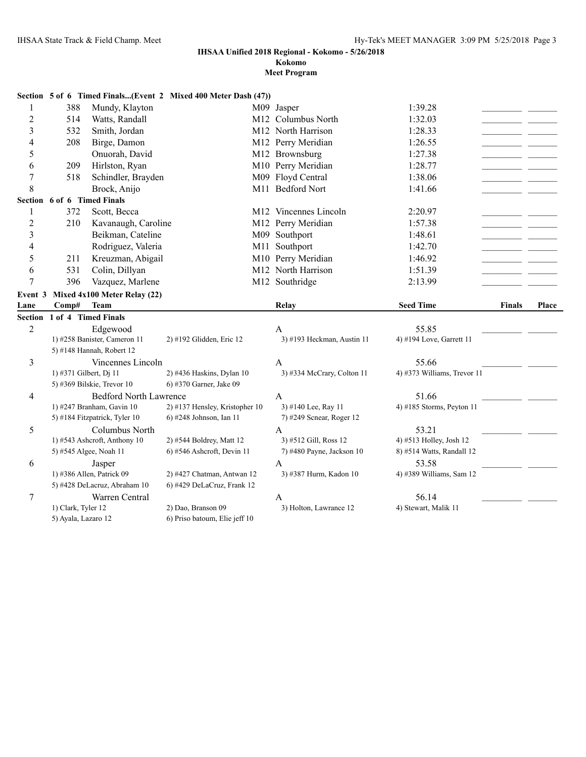5) Ayala, Lazaro 12 6) Priso batoum, Elie jeff 10

#### **IHSAA Unified 2018 Regional - Kokomo - 5/26/2018**

## **Kokomo**

|                |                             |                                     | Section 5 of 6 Timed Finals(Event 2 Mixed 400 Meter Dash (47)) |                                                    |                                   |               |       |
|----------------|-----------------------------|-------------------------------------|----------------------------------------------------------------|----------------------------------------------------|-----------------------------------|---------------|-------|
| 1              | 388                         | Mundy, Klayton                      |                                                                | M09 Jasper                                         | 1:39.28                           |               |       |
| $\overline{c}$ | 514                         | Watts, Randall                      |                                                                | M <sub>12</sub> Columbus North                     | 1:32.03                           |               |       |
| 3              | 532                         | Smith, Jordan                       |                                                                | M12 North Harrison                                 | 1:28.33                           |               |       |
| 4              | 208                         | Birge, Damon                        |                                                                | M12 Perry Meridian                                 | 1:26.55                           |               |       |
| 5              |                             | Onuorah, David                      |                                                                | M12 Brownsburg                                     | 1:27.38                           |               |       |
| 6              | 209                         | Hirlston, Ryan                      |                                                                | M10 Perry Meridian                                 | 1:28.77                           |               |       |
| $\overline{7}$ | 518                         | Schindler, Brayden                  |                                                                | M09 Floyd Central                                  | 1:38.06                           |               |       |
| 8              |                             | Brock, Anijo                        |                                                                | M11 Bedford Nort                                   | 1:41.66                           |               |       |
| Section        | 6 of 6 Timed Finals         |                                     |                                                                |                                                    |                                   |               |       |
| 1              | 372                         | Scott, Becca                        |                                                                | M12 Vincennes Lincoln                              | 2:20.97                           |               |       |
| $\overline{c}$ | 210                         | Kavanaugh, Caroline                 |                                                                | M12 Perry Meridian                                 | 1:57.38                           |               |       |
| 3              |                             | Beikman, Cateline                   |                                                                | M09 Southport                                      | 1:48.61                           |               |       |
| 4              |                             | Rodriguez, Valeria                  | M11                                                            | Southport                                          | 1:42.70                           |               |       |
| 5              | 211                         | Kreuzman, Abigail                   |                                                                | M10 Perry Meridian                                 | 1:46.92                           |               |       |
| 6              | 531                         | Colin, Dillyan                      |                                                                | M12 North Harrison                                 | 1:51.39                           |               |       |
| 7              | 396                         | Vazquez, Marlene                    |                                                                | M12 Southridge                                     | 2:13.99                           |               |       |
| Event 3        |                             | Mixed 4x100 Meter Relay (22)        |                                                                |                                                    |                                   |               |       |
| Lane           | Comp#                       | <b>Team</b>                         |                                                                | Relay                                              | <b>Seed Time</b>                  | <b>Finals</b> | Place |
|                | Section 1 of 4 Timed Finals |                                     |                                                                |                                                    |                                   |               |       |
| $\overline{2}$ |                             | Edgewood                            |                                                                | A                                                  | 55.85                             |               |       |
|                |                             | 1) #258 Banister, Cameron 11        | 2) #192 Glidden, Eric 12                                       | 3) #193 Heckman, Austin 11                         | 4) #194 Love, Garrett 11          |               |       |
|                |                             | 5) #148 Hannah, Robert 12           |                                                                |                                                    |                                   |               |       |
| 3              |                             | Vincennes Lincoln                   |                                                                | A                                                  | 55.66                             |               |       |
|                | 1) #371 Gilbert, Dj 11      |                                     | 2) #436 Haskins, Dylan 10                                      | 3) #334 McCrary, Colton 11                         | 4) #373 Williams, Trevor 11       |               |       |
|                |                             | 5) #369 Bilskie, Trevor 10          | 6) #370 Garner, Jake 09                                        |                                                    |                                   |               |       |
| 4              |                             | <b>Bedford North Lawrence</b>       |                                                                | $\mathbf{A}$                                       | 51.66                             |               |       |
|                |                             | 1) #247 Branham, Gavin 10           | 2) #137 Hensley, Kristopher 10                                 | 3) #140 Lee, Ray 11                                | 4) #185 Storms, Peyton 11         |               |       |
|                |                             | 5) #184 Fitzpatrick, Tyler 10       | 6) #248 Johnson, Ian 11                                        | 7) #249 Scnear, Roger 12                           |                                   |               |       |
| 5              |                             | Columbus North                      |                                                                | $\mathbf{A}$                                       | 53.21                             |               |       |
|                |                             | 1) #543 Ashcroft, Anthony 10        | 2) #544 Boldrey, Matt 12<br>$6$ ) #546 Ashcroft, Devin 11      | 3) #512 Gill, Ross 12<br>7) #480 Payne, Jackson 10 | 4) #513 Holley, Josh 12           |               |       |
|                |                             | 5) #545 Algee, Noah 11              |                                                                |                                                    | 8) #514 Watts, Randall 12         |               |       |
| 6              |                             | Jasper<br>1) #386 Allen, Patrick 09 | 2) #427 Chatman, Antwan 12                                     | $\mathbf{A}$<br>3) #387 Hurm, Kadon 10             | 53.58<br>4) #389 Williams, Sam 12 |               |       |
|                |                             | 5) #428 DeLacruz, Abraham 10        | 6) #429 DeLaCruz, Frank 12                                     |                                                    |                                   |               |       |
| 7              |                             | Warren Central                      |                                                                | A                                                  | 56.14                             |               |       |
|                |                             | 1) Clark, Tyler 12                  | 2) Dao, Branson 09                                             | 3) Holton, Lawrance 12                             | 4) Stewart, Malik 11              |               |       |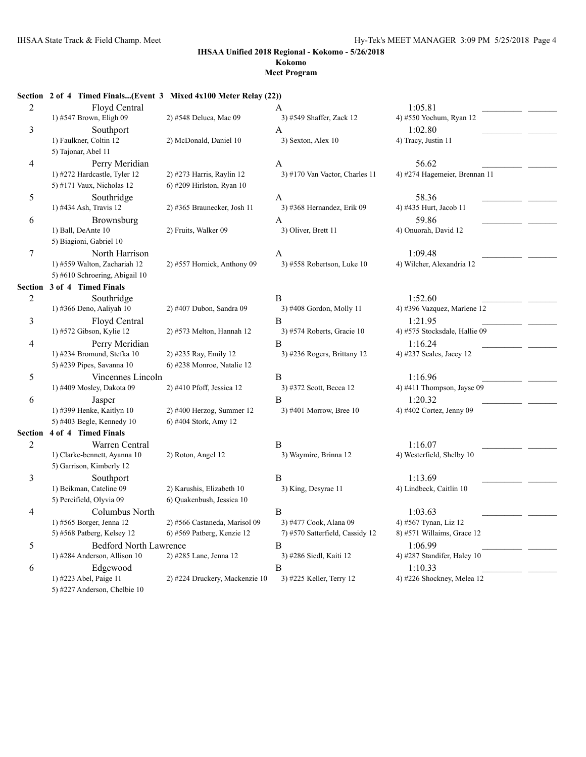## **Kokomo**

#### **Meet Program**

#### **Section 2 of 4 Timed Finals...(Event 3 Mixed 4x100 Meter Relay (22))**

| $\overline{2}$ | Floyd Central                  |                                | A                               | 1:05.81                       |
|----------------|--------------------------------|--------------------------------|---------------------------------|-------------------------------|
|                | 1) #547 Brown, Eligh 09        | 2) #548 Deluca, Mac 09         | 3) #549 Shaffer, Zack 12        | 4) #550 Yochum, Ryan 12       |
| 3              | Southport                      |                                | A                               | 1:02.80                       |
|                | 1) Faulkner, Coltin 12         | 2) McDonald, Daniel 10         | 3) Sexton, Alex 10              | 4) Tracy, Justin 11           |
|                | 5) Tajonar, Abel 11            |                                |                                 |                               |
| 4              | Perry Meridian                 |                                | $\mathbf{A}$                    | 56.62                         |
|                | 1) #272 Hardcastle, Tyler 12   | 2) #273 Harris, Raylin 12      | 3) #170 Van Vactor, Charles 11  | 4) #274 Hagemeier, Brennan 11 |
|                | 5) #171 Vaux, Nicholas 12      | 6) #209 Hirlston, Ryan 10      |                                 |                               |
| 5              | Southridge                     |                                | A                               | 58.36                         |
|                | 1) #434 Ash, Travis 12         | 2) #365 Braunecker, Josh 11    | 3) #368 Hernandez, Erik 09      | 4) #435 Hurt, Jacob 11        |
| 6              | Brownsburg                     |                                | A                               | 59.86                         |
|                | 1) Ball, DeAnte 10             | 2) Fruits, Walker 09           | 3) Oliver, Brett 11             | 4) Onuorah, David 12          |
|                | 5) Biagioni, Gabriel 10        |                                |                                 |                               |
| $\tau$         | North Harrison                 |                                | A                               | 1:09.48                       |
|                | 1) #559 Walton, Zachariah 12   | 2) #557 Hornick, Anthony 09    | 3) #558 Robertson, Luke 10      | 4) Wilcher, Alexandria 12     |
|                | 5) #610 Schroering, Abigail 10 |                                |                                 |                               |
| Section        | 3 of 4 Timed Finals            |                                |                                 |                               |
| $\overline{c}$ | Southridge                     |                                | B                               | 1:52.60                       |
|                | 1) #366 Deno, Aaliyah 10       | 2) #407 Dubon, Sandra 09       | 3) #408 Gordon, Molly 11        | 4) #396 Vazquez, Marlene 12   |
| 3              | Floyd Central                  |                                | B                               | 1:21.95                       |
|                | 1) #572 Gibson, Kylie 12       | 2) #573 Melton, Hannah 12      | 3) #574 Roberts, Gracie 10      | 4) #575 Stocksdale, Hallie 09 |
| 4              | Perry Meridian                 |                                | $\overline{B}$                  | 1:16.24                       |
|                | 1) #234 Bromund, Stefka 10     | 2) #235 Ray, Emily 12          | 3) #236 Rogers, Brittany 12     | 4) #237 Scales, Jacey 12      |
|                | 5) #239 Pipes, Savanna 10      | 6) #238 Monroe, Natalie 12     |                                 |                               |
| 5              | Vincennes Lincoln              |                                | B                               | 1:16.96                       |
|                | 1) #409 Mosley, Dakota 09      | 2) #410 Pfoff, Jessica 12      | 3) #372 Scott, Becca 12         | 4) #411 Thompson, Jayse 09    |
| 6              | Jasper                         |                                | B                               | 1:20.32                       |
|                | 1) #399 Henke, Kaitlyn 10      | 2) #400 Herzog, Summer 12      | 3) #401 Morrow, Bree 10         | 4) #402 Cortez, Jenny 09      |
|                | 5) #403 Begle, Kennedy 10      | 6) #404 Stork, Amy 12          |                                 |                               |
| Section        | 4 of 4 Timed Finals            |                                |                                 |                               |
| $\overline{c}$ | Warren Central                 |                                | B                               | 1:16.07                       |
|                | 1) Clarke-bennett, Ayanna 10   | 2) Roton, Angel 12             | 3) Waymire, Brinna 12           | 4) Westerfield, Shelby 10     |
|                | 5) Garrison, Kimberly 12       |                                |                                 |                               |
| 3              | Southport                      |                                | B                               | 1:13.69                       |
|                | 1) Beikman, Cateline 09        | 2) Karushis, Elizabeth 10      | 3) King, Desyrae 11             | 4) Lindbeck, Caitlin 10       |
|                | 5) Percifield, Olyvia 09       | 6) Quakenbush, Jessica 10      |                                 |                               |
| 4              | Columbus North                 |                                | $\overline{B}$                  | 1:03.63                       |
|                | 1) #565 Borger, Jenna 12       | 2) #566 Castaneda, Marisol 09  | 3) #477 Cook, Alana 09          | 4) #567 Tynan, Liz 12         |
|                | 5) #568 Patberg, Kelsey 12     | 6) #569 Patberg, Kenzie 12     | 7) #570 Satterfield, Cassidy 12 | 8) #571 Willaims, Grace 12    |
| 5              | <b>Bedford North Lawrence</b>  |                                | B                               | 1:06.99                       |
|                | 1) #284 Anderson, Allison 10   | 2) #285 Lane, Jenna 12         | 3) #286 Siedl, Kaiti 12         | 4) #287 Standifer, Haley 10   |
| 6              | Edgewood                       |                                | B                               | 1:10.33                       |
|                | 1) #223 Abel, Paige 11         | 2) #224 Druckery, Mackenzie 10 | 3) #225 Keller, Terry 12        | 4) #226 Shockney, Melea 12    |
|                | 5) #227 Anderson, Chelbie 10   |                                |                                 |                               |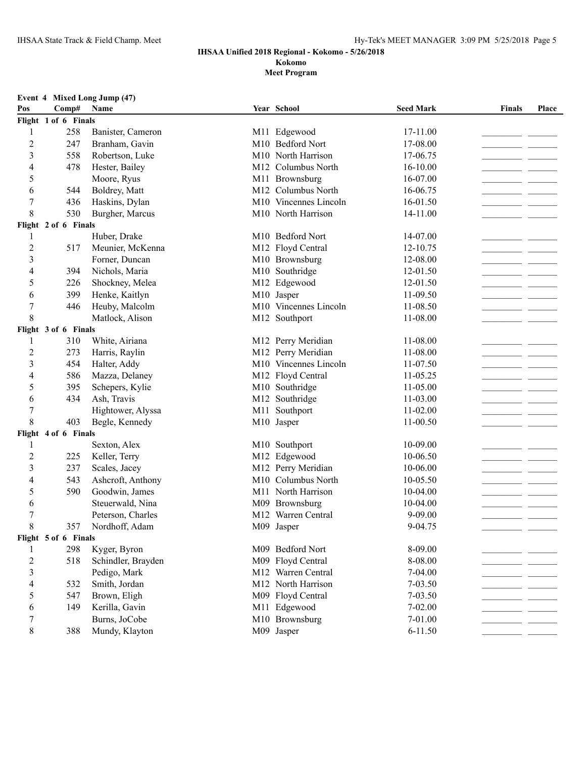### **IHSAA Unified 2018 Regional - Kokomo - 5/26/2018 Kokomo**

| Pos            | Comp#                | Event 4 Mixed Long Jump (47)<br>Name |     | Year School                             | <b>Seed Mark</b>   | Finals | Place |
|----------------|----------------------|--------------------------------------|-----|-----------------------------------------|--------------------|--------|-------|
|                | Flight 1 of 6 Finals |                                      |     |                                         |                    |        |       |
|                | 258                  | Banister, Cameron                    |     | M11 Edgewood                            | 17-11.00           |        |       |
| 2              | 247                  | Branham, Gavin                       |     | M10 Bedford Nort                        | 17-08.00           |        |       |
| 3              | 558                  | Robertson, Luke                      |     | M10 North Harrison                      | 17-06.75           |        |       |
| 4              | 478                  | Hester, Bailey                       |     | M12 Columbus North                      | 16-10.00           |        |       |
| 5              |                      | Moore, Ryus                          |     | M11 Brownsburg                          | 16-07.00           |        |       |
| 6              | 544                  | Boldrey, Matt                        |     | M12 Columbus North                      | 16-06.75           |        |       |
| 7              | 436                  | Haskins, Dylan                       |     | M10 Vincennes Lincoln                   | 16-01.50           |        |       |
| 8              | 530                  | Burgher, Marcus                      |     | M10 North Harrison                      | 14-11.00           |        |       |
|                | Flight 2 of 6 Finals |                                      |     |                                         |                    |        |       |
|                |                      | Huber, Drake                         |     | M10 Bedford Nort                        | 14-07.00           |        |       |
| 2              | 517                  | Meunier, McKenna                     |     | M12 Floyd Central                       | 12-10.75           |        |       |
| 3              |                      | Forner, Duncan                       |     | M10 Brownsburg                          | 12-08.00           |        |       |
| 4              | 394                  | Nichols, Maria                       |     | M10 Southridge                          | 12-01.50           |        |       |
| 5              | 226                  | Shockney, Melea                      |     | M12 Edgewood                            | 12-01.50           |        |       |
| 6              | 399                  | Henke, Kaitlyn                       |     | M10 Jasper                              | 11-09.50           |        |       |
| 7              | 446                  | Heuby, Malcolm                       |     | M10 Vincennes Lincoln                   | 11-08.50           |        |       |
| 8              |                      | Matlock, Alison                      |     | M12 Southport                           | 11-08.00           |        |       |
|                | Flight 3 of 6 Finals |                                      |     |                                         |                    |        |       |
|                | 310                  | White, Airiana                       |     | M12 Perry Meridian                      | 11-08.00           |        |       |
| 2              | 273                  | Harris, Raylin                       |     | M12 Perry Meridian                      | 11-08.00           |        |       |
| 3              | 454                  | Halter, Addy                         |     | M10 Vincennes Lincoln                   | 11-07.50           |        |       |
| 4              | 586                  | Mazza, Delaney                       |     | M12 Floyd Central                       | 11-05.25           |        |       |
| 5              | 395                  | Schepers, Kylie                      | M10 | Southridge                              | 11-05.00           |        |       |
| 6              | 434                  | Ash, Travis                          |     | M12 Southridge                          | 11-03.00           |        |       |
| 7              |                      | Hightower, Alyssa                    | M11 | Southport                               | 11-02.00           |        |       |
| 8              | 403                  | Begle, Kennedy                       |     | M10 Jasper                              | 11-00.50           |        |       |
|                | Flight 4 of 6 Finals |                                      |     |                                         |                    |        |       |
|                |                      | Sexton, Alex                         |     | M10 Southport                           | 10-09.00           |        |       |
| $\overline{2}$ | 225                  | Keller, Terry                        |     | M12 Edgewood                            | 10-06.50           |        |       |
| 3              | 237                  | Scales, Jacey                        |     | M12 Perry Meridian                      | 10-06.00           |        |       |
| 4              | 543                  | Ashcroft, Anthony                    |     | M10 Columbus North                      | 10-05.50           |        |       |
| 5              | 590                  | Goodwin, James                       |     | M11 North Harrison                      | 10-04.00           |        |       |
| 6              |                      | Steuerwald, Nina                     |     | M09 Brownsburg                          | 10-04.00           |        |       |
| 7              |                      | Peterson, Charles                    |     | M12 Warren Central                      | 9-09.00            |        |       |
| 8              | 357                  | Nordhoff, Adam                       |     | M09 Jasper                              | 9-04.75            |        |       |
|                | Flight 5 of 6 Finals |                                      |     |                                         |                    |        |       |
|                | 298                  | Kyger, Byron                         |     | M09 Bedford Nort                        | 8-09.00            |        |       |
| 2              | 518                  | Schindler, Brayden                   |     | M09 Floyd Central<br>M12 Warren Central | 8-08.00            |        |       |
| 3              |                      | Pedigo, Mark                         |     | M12 North Harrison                      | 7-04.00            |        |       |
| 4              | 532                  | Smith, Jordan                        |     |                                         | 7-03.50            |        |       |
| 5              | 547                  | Brown, Eligh                         |     | M09 Floyd Central                       | 7-03.50            |        |       |
| 6              | 149                  | Kerilla, Gavin                       |     | M11 Edgewood<br>M10 Brownsburg          | 7-02.00<br>7-01.00 |        |       |
| 7              |                      | Burns, JoCobe                        |     |                                         |                    |        |       |
| 8              | 388                  | Mundy, Klayton                       |     | M09 Jasper                              | $6 - 11.50$        |        |       |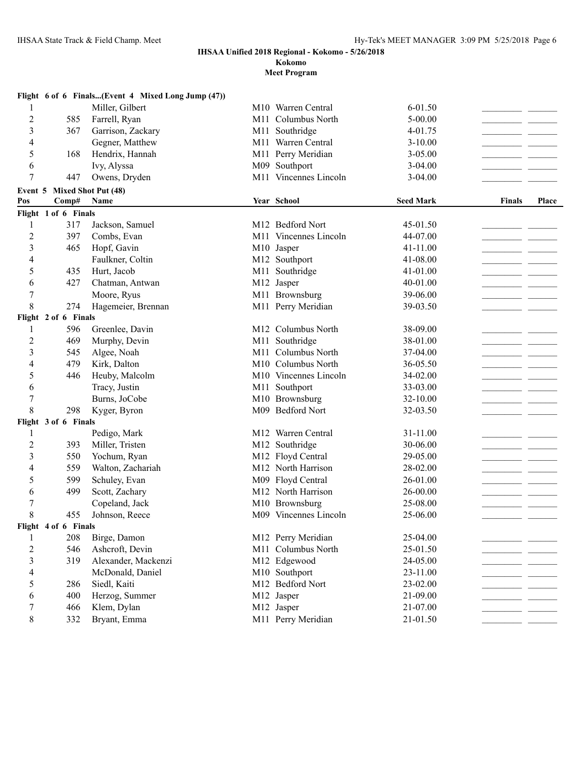**Kokomo**

|                  |                             | Flight 6 of 6 Finals(Event 4 Mixed Long Jump (47)) |     |                                |                  |               |       |
|------------------|-----------------------------|----------------------------------------------------|-----|--------------------------------|------------------|---------------|-------|
| 1                |                             | Miller, Gilbert                                    |     | M <sub>10</sub> Warren Central | 6-01.50          |               |       |
| $\overline{2}$   | 585                         | Farrell, Ryan                                      | M11 | Columbus North                 | $5 - 00.00$      |               |       |
| 3                | 367                         | Garrison, Zackary                                  | M11 | Southridge                     | 4-01.75          |               |       |
| 4                |                             | Gegner, Matthew                                    |     | M11 Warren Central             | $3 - 10.00$      |               |       |
| 5                | 168                         | Hendrix, Hannah                                    |     | M11 Perry Meridian             | $3 - 05.00$      |               |       |
| 6                |                             | Ivy, Alyssa                                        |     | M09 Southport                  | $3 - 04.00$      |               |       |
| 7                | 447                         | Owens, Dryden                                      |     | M11 Vincennes Lincoln          | $3 - 04.00$      |               |       |
|                  | Event 5 Mixed Shot Put (48) |                                                    |     |                                |                  |               |       |
| Pos              | Comp#                       | Name                                               |     | Year School                    | <b>Seed Mark</b> | <b>Finals</b> | Place |
|                  | Flight 1 of 6 Finals        |                                                    |     |                                |                  |               |       |
| 1                | 317                         | Jackson, Samuel                                    |     | M12 Bedford Nort               | 45-01.50         |               |       |
| $\overline{c}$   | 397                         | Combs, Evan                                        |     | M11 Vincennes Lincoln          | 44-07.00         |               |       |
| 3                | 465                         | Hopf, Gavin                                        |     | M10 Jasper                     | 41-11.00         |               |       |
| 4                |                             | Faulkner, Coltin                                   |     | M12 Southport                  | 41-08.00         |               |       |
| 5                | 435                         | Hurt, Jacob                                        |     | M11 Southridge                 | 41-01.00         |               |       |
| 6                | 427                         | Chatman, Antwan                                    |     | M12 Jasper                     | 40-01.00         |               |       |
| 7                |                             | Moore, Ryus                                        |     | M11 Brownsburg                 | 39-06.00         |               |       |
| 8                | 274                         | Hagemeier, Brennan                                 |     | M11 Perry Meridian             | 39-03.50         |               |       |
|                  | Flight 2 of 6 Finals        |                                                    |     |                                |                  |               |       |
| 1                | 596                         | Greenlee, Davin                                    |     | M12 Columbus North             | 38-09.00         |               |       |
| $\overline{c}$   | 469                         | Murphy, Devin                                      |     | M11 Southridge                 | 38-01.00         |               |       |
| 3                | 545                         | Algee, Noah                                        |     | M11 Columbus North             | 37-04.00         |               |       |
| 4                | 479                         | Kirk, Dalton                                       |     | M10 Columbus North             | 36-05.50         |               |       |
| 5                | 446                         | Heuby, Malcolm                                     |     | M10 Vincennes Lincoln          | 34-02.00         |               |       |
| 6                |                             | Tracy, Justin                                      |     | M11 Southport                  | 33-03.00         |               |       |
| $\overline{7}$   |                             | Burns, JoCobe                                      |     | M10 Brownsburg                 | 32-10.00         |               |       |
| 8                | 298                         | Kyger, Byron                                       |     | M09 Bedford Nort               | 32-03.50         |               |       |
|                  | Flight 3 of 6 Finals        |                                                    |     |                                |                  |               |       |
| 1                |                             | Pedigo, Mark                                       |     | M12 Warren Central             | 31-11.00         |               |       |
| $\overline{c}$   | 393                         | Miller, Tristen                                    |     | M12 Southridge                 | 30-06.00         |               |       |
| 3                | 550                         | Yochum, Ryan                                       |     | M12 Floyd Central              | 29-05.00         |               |       |
| 4                | 559                         | Walton, Zachariah                                  |     | M12 North Harrison             | 28-02.00         |               |       |
| 5                | 599                         | Schuley, Evan                                      |     | M09 Floyd Central              | 26-01.00         |               |       |
| 6                | 499                         | Scott, Zachary                                     |     | M12 North Harrison             | 26-00.00         |               |       |
| 7                |                             | Copeland, Jack                                     |     | M10 Brownsburg                 | 25-08.00         |               |       |
| 8                | 455                         | Johnson, Reece                                     |     | M09 Vincennes Lincoln          | 25-06.00         |               |       |
|                  | Flight 4 of 6 Finals        |                                                    |     |                                |                  |               |       |
| 1                | 208                         | Birge, Damon                                       |     | M12 Perry Meridian             | 25-04.00         |               |       |
| $\boldsymbol{2}$ | 546                         | Ashcroft, Devin                                    |     | M11 Columbus North             | 25-01.50         |               |       |
| 3                | 319                         | Alexander, Mackenzi                                |     | M12 Edgewood                   | 24-05.00         |               |       |
| 4                |                             | McDonald, Daniel                                   |     | M10 Southport                  | 23-11.00         |               |       |
| 5                | 286                         | Siedl, Kaiti                                       |     | M12 Bedford Nort               | 23-02.00         |               |       |
| 6                | 400                         | Herzog, Summer                                     |     | M12 Jasper                     | 21-09.00         |               |       |
| 7                | 466                         | Klem, Dylan                                        |     | M12 Jasper                     | 21-07.00         |               |       |
| 8                | 332                         | Bryant, Emma                                       |     | M11 Perry Meridian             | 21-01.50         |               |       |